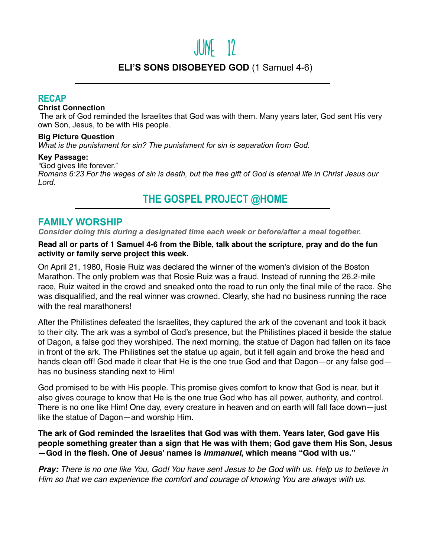# June 12

# **ELI'S SONS DISOBEYED GOD** (1 Samuel 4-6)

### **RECAP**

#### **Christ Connection**

 The ark of God reminded the Israelites that God was with them. Many years later, God sent His very own Son, Jesus, to be with His people.

#### **Big Picture Question**

*What is the punishment for sin? The punishment for sin is separation from God.*

#### **Key Passage:**

*"*God gives life forever."

*Romans 6:23 For the wages of sin is death, but the free gift of God is eternal life in Christ Jesus our Lord.*

# **THE GOSPEL PROJECT @HOME**

## **FAMILY WORSHIP**

*Consider doing this during a designated time each week or before/after a meal together.*

#### **Read all or parts of 1 Samuel 4-6 from the Bible, talk about the scripture, pray and do the fun activity or family serve project this week.**

On April 21, 1980, Rosie Ruiz was declared the winner of the women's division of the Boston Marathon. The only problem was that Rosie Ruiz was a fraud. Instead of running the 26.2-mile race, Ruiz waited in the crowd and sneaked onto the road to run only the final mile of the race. She was disqualified, and the real winner was crowned. Clearly, she had no business running the race with the real marathoners!

After the Philistines defeated the Israelites, they captured the ark of the covenant and took it back to their city. The ark was a symbol of God's presence, but the Philistines placed it beside the statue of Dagon, a false god they worshiped. The next morning, the statue of Dagon had fallen on its face in front of the ark. The Philistines set the statue up again, but it fell again and broke the head and hands clean off! God made it clear that He is the one true God and that Dagon—or any false god has no business standing next to Him!

God promised to be with His people. This promise gives comfort to know that God is near, but it also gives courage to know that He is the one true God who has all power, authority, and control. There is no one like Him! One day, every creature in heaven and on earth will fall face down—just like the statue of Dagon—and worship Him.

**The ark of God reminded the Israelites that God was with them. Years later, God gave His people something greater than a sign that He was with them; God gave them His Son, Jesus —God in the flesh. One of Jesus' names is** *Immanuel***, which means "God with us."** 

*Pray: There is no one like You, God! You have sent Jesus to be God with us. Help us to believe in Him so that we can experience the comfort and courage of knowing You are always with us.*